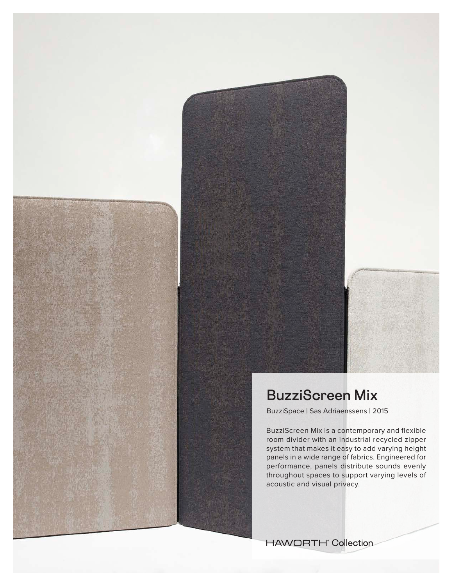## **BuzziScreen Mix**

BuzziSpace | Sas Adriaenssens | 2015

BuzziScreen Mix is a contemporary and flexible room divider with an industrial recycled zipper system that makes it easy to add varying height panels in a wide range of fabrics. Engineered for performance, panels distribute sounds evenly throughout spaces to support varying levels of acoustic and visual privacy.

**HAWORTH**<sup>\*</sup> Collection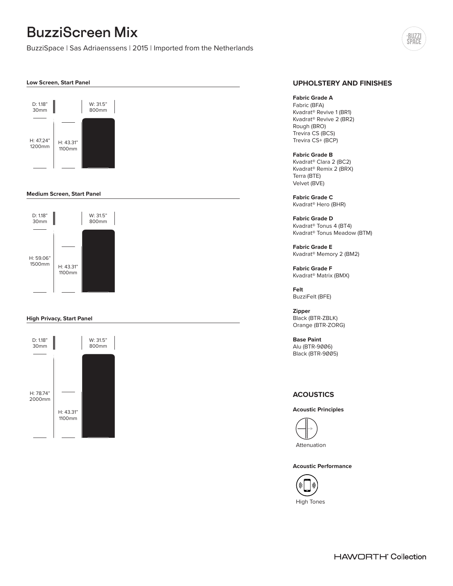# **BuzziScreen Mix**

BuzziSpace | Sas Adriaenssens | 2015 | Imported from the Netherlands

#### **Low Screen, Start Panel**



#### **Medium Screen, Start Panel**



#### **High Privacy, Start Panel**



### **UPHOLSTERY AND FINISHES**

## **Fabric Grade A**

Fabric (BFA) Kvadrat® Revive 1 (BR1) Kvadrat® Revive 2 (BR2) Rough (BRO) Trevira CS (BCS) Trevira CS+ (BCP)

#### **Fabric Grade B**

Kvadrat® Clara 2 (BC2) Kvadrat® Remix 2 (BRX) Terra (BTE) Velvet (BVE)

**Fabric Grade C** Kvadrat® Hero (BHR)

**Fabric Grade D** Kvadrat® Tonus 4 (BT4) Kvadrat® Tonus Meadow (BTM)

**Fabric Grade E** Kvadrat® Memory 2 (BM2)

**Fabric Grade F** Kvadrat® Matrix (BMX)

**Felt** BuzziFelt (BFE)

**Zipper** Black (BTR-ZBLK) Orange (BTR-ZORG)

**Base Paint** Alu (BTR-9006) Black (BTR-9005)

### **ACOUSTICS**

**Acoustic Principles**



#### **Acoustic Performance**